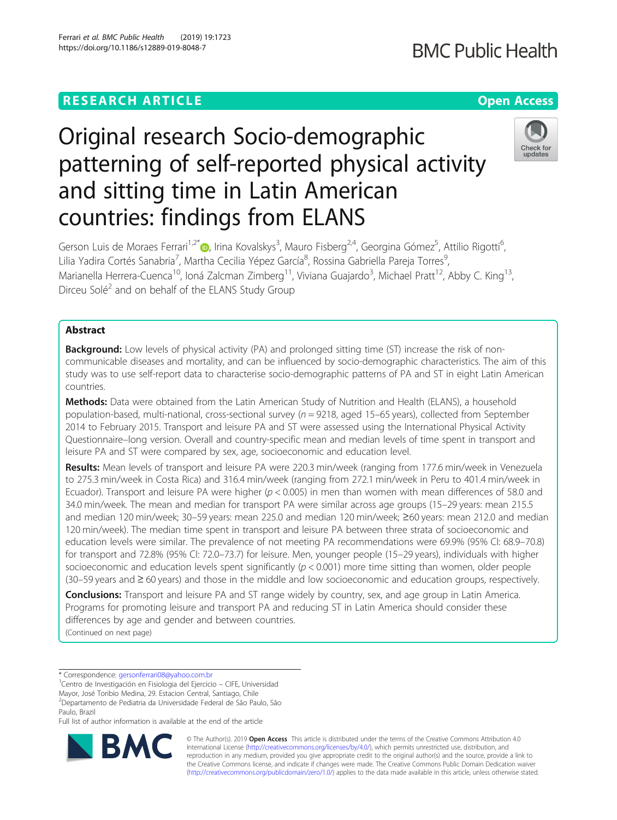# **RESEARCH ARTICLE Example 2014 12:30 The Contract of Contract ACCESS**

# Original research Socio-demographic patterning of self-reported physical activity and sitting time in Latin American countries: findings from ELANS

Gerson Luis de Moraes Ferrari<sup>1,2[\\*](http://orcid.org/0000-0003-3177-6576)</sup>®, Irina Kovalskys<sup>3</sup>, Mauro Fisberg<sup>2,4</sup>, Georgina Gómez<sup>5</sup>, Attilio Rigotti<sup>6</sup> י<br>, Lilia Yadira Cortés Sanabria<sup>7</sup>, Martha Cecilia Yépez García<sup>8</sup>, Rossina Gabriella Pareja Torres<sup>9</sup> , Marianella Herrera-Cuenca<sup>10</sup>, Ioná Zalcman Zimberg<sup>11</sup>, Viviana Guajardo<sup>3</sup>, Michael Pratt<sup>12</sup>, Abby C. King<sup>13</sup>, Dirceu Solé<sup>2</sup> and on behalf of the ELANS Study Group

## Abstract

**Background:** Low levels of physical activity (PA) and prolonged sitting time (ST) increase the risk of noncommunicable diseases and mortality, and can be influenced by socio-demographic characteristics. The aim of this study was to use self-report data to characterise socio-demographic patterns of PA and ST in eight Latin American countries.

Methods: Data were obtained from the Latin American Study of Nutrition and Health (ELANS), a household population-based, multi-national, cross-sectional survey ( $n = 9218$ , aged 15–65 years), collected from September 2014 to February 2015. Transport and leisure PA and ST were assessed using the International Physical Activity Questionnaire–long version. Overall and country-specific mean and median levels of time spent in transport and leisure PA and ST were compared by sex, age, socioeconomic and education level.

Results: Mean levels of transport and leisure PA were 220.3 min/week (ranging from 177.6 min/week in Venezuela to 275.3 min/week in Costa Rica) and 316.4 min/week (ranging from 272.1 min/week in Peru to 401.4 min/week in Ecuador). Transport and leisure PA were higher ( $p < 0.005$ ) in men than women with mean differences of 58.0 and 34.0 min/week. The mean and median for transport PA were similar across age groups (15–29 years: mean 215.5 and median 120 min/week; 30–59 years: mean 225.0 and median 120 min/week; ≥60 years: mean 212.0 and median 120 min/week). The median time spent in transport and leisure PA between three strata of socioeconomic and education levels were similar. The prevalence of not meeting PA recommendations were 69.9% (95% CI: 68.9–70.8) for transport and 72.8% (95% CI: 72.0–73.7) for leisure. Men, younger people (15–29 years), individuals with higher socioeconomic and education levels spent significantly  $(p < 0.001)$  more time sitting than women, older people (30–59 years and ≥ 60 years) and those in the middle and low socioeconomic and education groups, respectively.

**Conclusions:** Transport and leisure PA and ST range widely by country, sex, and age group in Latin America. Programs for promoting leisure and transport PA and reducing ST in Latin America should consider these differences by age and gender and between countries.

(Continued on next page)

\* Correspondence: [gersonferrari08@yahoo.com.br](mailto:gersonferrari08@yahoo.com.br) <sup>1</sup>

Centro de Investigación en Fisiologia del Ejercicio – CIFE, Universidad

Mayor, José Toribio Medina, 29. Estacion Central, Santiago, Chile

2 Departamento de Pediatria da Universidade Federal de São Paulo, São Paulo, Brazil

Full list of author information is available at the end of the article





© The Author(s). 2019 **Open Access** This article is distributed under the terms of the Creative Commons Attribution 4.0 International License [\(http://creativecommons.org/licenses/by/4.0/](http://creativecommons.org/licenses/by/4.0/)), which permits unrestricted use, distribution, and reproduction in any medium, provided you give appropriate credit to the original author(s) and the source, provide a link to the Creative Commons license, and indicate if changes were made. The Creative Commons Public Domain Dedication waiver [\(http://creativecommons.org/publicdomain/zero/1.0/](http://creativecommons.org/publicdomain/zero/1.0/)) applies to the data made available in this article, unless otherwise stated.

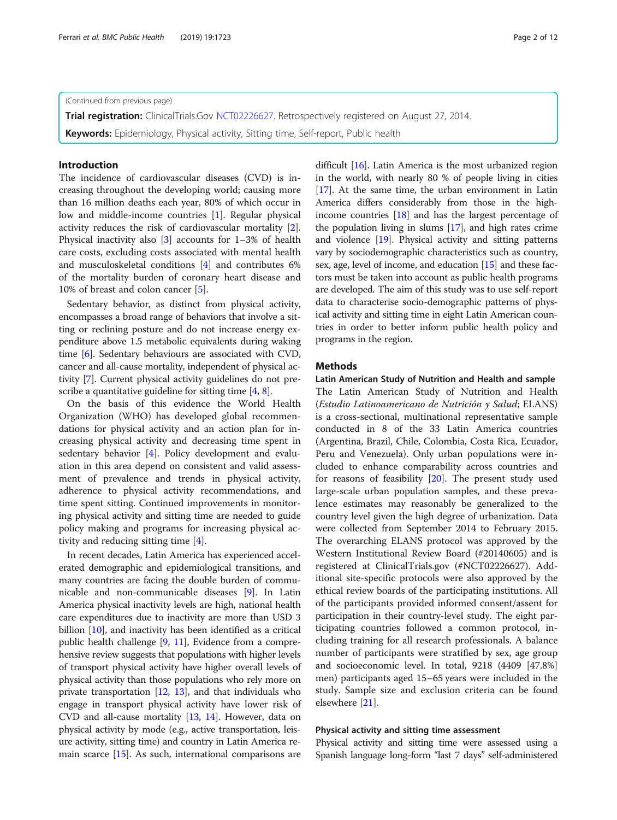(Continued from previous page)

**Trial registration:** ClinicalTrials.Gov [NCT02226627](https://clinicaltrials.gov/ct2/show/NCT02226627). Retrospectively registered on August 27, 2014.

Keywords: Epidemiology, Physical activity, Sitting time, Self-report, Public health

### Introduction

The incidence of cardiovascular diseases (CVD) is increasing throughout the developing world; causing more than 16 million deaths each year, 80% of which occur in low and middle-income countries [\[1](#page-10-0)]. Regular physical activity reduces the risk of cardiovascular mortality [\[2](#page-10-0)]. Physical inactivity also  $\begin{bmatrix} 3 \end{bmatrix}$  accounts for 1–3% of health care costs, excluding costs associated with mental health and musculoskeletal conditions [\[4\]](#page-10-0) and contributes 6% of the mortality burden of coronary heart disease and 10% of breast and colon cancer [[5\]](#page-10-0).

Sedentary behavior, as distinct from physical activity, encompasses a broad range of behaviors that involve a sitting or reclining posture and do not increase energy expenditure above 1.5 metabolic equivalents during waking time [[6\]](#page-10-0). Sedentary behaviours are associated with CVD, cancer and all-cause mortality, independent of physical activity [\[7\]](#page-10-0). Current physical activity guidelines do not pre-scribe a quantitative guideline for sitting time [[4](#page-10-0), [8\]](#page-10-0).

On the basis of this evidence the World Health Organization (WHO) has developed global recommendations for physical activity and an action plan for increasing physical activity and decreasing time spent in sedentary behavior [[4\]](#page-10-0). Policy development and evaluation in this area depend on consistent and valid assessment of prevalence and trends in physical activity, adherence to physical activity recommendations, and time spent sitting. Continued improvements in monitoring physical activity and sitting time are needed to guide policy making and programs for increasing physical activity and reducing sitting time [\[4](#page-10-0)].

In recent decades, Latin America has experienced accelerated demographic and epidemiological transitions, and many countries are facing the double burden of communicable and non-communicable diseases [\[9](#page-10-0)]. In Latin America physical inactivity levels are high, national health care expenditures due to inactivity are more than USD 3 billion [\[10](#page-10-0)], and inactivity has been identified as a critical public health challenge [\[9](#page-10-0), [11](#page-10-0)], Evidence from a comprehensive review suggests that populations with higher levels of transport physical activity have higher overall levels of physical activity than those populations who rely more on private transportation [\[12](#page-10-0), [13](#page-10-0)], and that individuals who engage in transport physical activity have lower risk of CVD and all-cause mortality [\[13,](#page-10-0) [14\]](#page-10-0). However, data on physical activity by mode (e.g., active transportation, leisure activity, sitting time) and country in Latin America remain scarce [\[15\]](#page-10-0). As such, international comparisons are difficult [[16](#page-10-0)]. Latin America is the most urbanized region in the world, with nearly 80 % of people living in cities [[17](#page-10-0)]. At the same time, the urban environment in Latin America differs considerably from those in the highincome countries [[18](#page-10-0)] and has the largest percentage of the population living in slums [[17](#page-10-0)], and high rates crime and violence [\[19](#page-10-0)]. Physical activity and sitting patterns vary by sociodemographic characteristics such as country, sex, age, level of income, and education [[15](#page-10-0)] and these factors must be taken into account as public health programs are developed. The aim of this study was to use self-report data to characterise socio-demographic patterns of physical activity and sitting time in eight Latin American countries in order to better inform public health policy and programs in the region.

#### **Methods**

Latin American Study of Nutrition and Health and sample The Latin American Study of Nutrition and Health (Estudio Latinoamericano de Nutrición y Salud; ELANS) is a cross-sectional, multinational representative sample conducted in 8 of the 33 Latin America countries (Argentina, Brazil, Chile, Colombia, Costa Rica, Ecuador, Peru and Venezuela). Only urban populations were included to enhance comparability across countries and for reasons of feasibility [\[20](#page-10-0)]. The present study used large-scale urban population samples, and these prevalence estimates may reasonably be generalized to the country level given the high degree of urbanization. Data were collected from September 2014 to February 2015. The overarching ELANS protocol was approved by the Western Institutional Review Board (#20140605) and is registered at ClinicalTrials.gov (#NCT02226627). Additional site-specific protocols were also approved by the ethical review boards of the participating institutions. All of the participants provided informed consent/assent for participation in their country-level study. The eight participating countries followed a common protocol, including training for all research professionals. A balance number of participants were stratified by sex, age group and socioeconomic level. In total, 9218 (4409 [47.8%] men) participants aged 15–65 years were included in the study. Sample size and exclusion criteria can be found elsewhere [[21](#page-10-0)].

#### Physical activity and sitting time assessment

Physical activity and sitting time were assessed using a Spanish language long-form "last 7 days" self-administered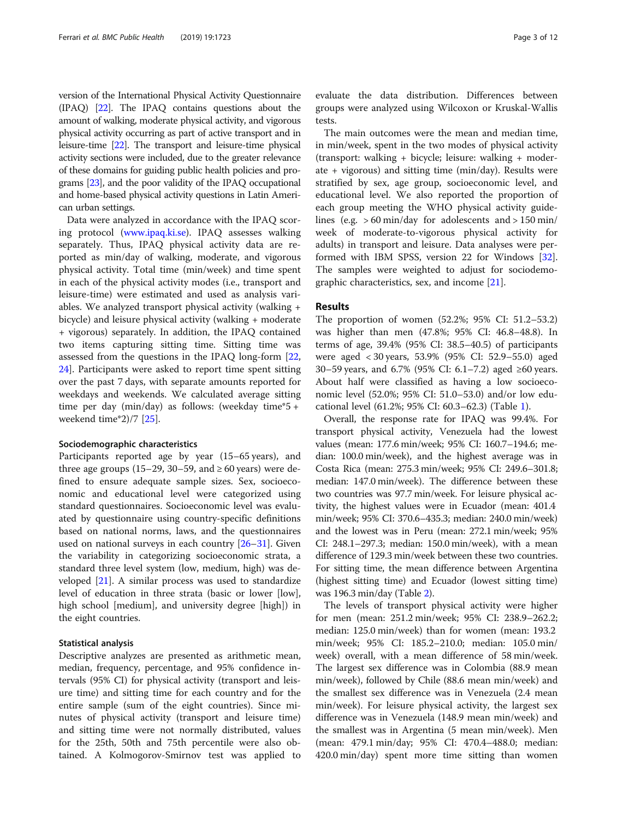version of the International Physical Activity Questionnaire (IPAQ) [[22](#page-10-0)]. The IPAQ contains questions about the amount of walking, moderate physical activity, and vigorous physical activity occurring as part of active transport and in leisure-time [\[22\]](#page-10-0). The transport and leisure-time physical activity sections were included, due to the greater relevance of these domains for guiding public health policies and programs [[23\]](#page-10-0), and the poor validity of the IPAQ occupational and home-based physical activity questions in Latin American urban settings.

Data were analyzed in accordance with the IPAQ scoring protocol [\(www.ipaq.ki.se](http://www.ipaq.ki.se)). IPAQ assesses walking separately. Thus, IPAQ physical activity data are reported as min/day of walking, moderate, and vigorous physical activity. Total time (min/week) and time spent in each of the physical activity modes (i.e., transport and leisure-time) were estimated and used as analysis variables. We analyzed transport physical activity (walking + bicycle) and leisure physical activity (walking + moderate + vigorous) separately. In addition, the IPAQ contained two items capturing sitting time. Sitting time was assessed from the questions in the IPAQ long-form [[22](#page-10-0), [24\]](#page-10-0). Participants were asked to report time spent sitting over the past 7 days, with separate amounts reported for weekdays and weekends. We calculated average sitting time per day (min/day) as follows: (weekday time\*5 + weekend time\*2)/7 [[25\]](#page-10-0).

#### Sociodemographic characteristics

Participants reported age by year (15–65 years), and three age groups (15–29, 30–59, and  $\geq 60$  years) were defined to ensure adequate sample sizes. Sex, socioeconomic and educational level were categorized using standard questionnaires. Socioeconomic level was evaluated by questionnaire using country-specific definitions based on national norms, laws, and the questionnaires used on national surveys in each country  $[26-31]$  $[26-31]$  $[26-31]$ . Given the variability in categorizing socioeconomic strata, a standard three level system (low, medium, high) was developed [\[21\]](#page-10-0). A similar process was used to standardize level of education in three strata (basic or lower [low], high school [medium], and university degree [high]) in the eight countries.

#### Statistical analysis

Descriptive analyzes are presented as arithmetic mean, median, frequency, percentage, and 95% confidence intervals (95% CI) for physical activity (transport and leisure time) and sitting time for each country and for the entire sample (sum of the eight countries). Since minutes of physical activity (transport and leisure time) and sitting time were not normally distributed, values for the 25th, 50th and 75th percentile were also obtained. A Kolmogorov-Smirnov test was applied to

evaluate the data distribution. Differences between groups were analyzed using Wilcoxon or Kruskal-Wallis tests.

The main outcomes were the mean and median time, in min/week, spent in the two modes of physical activity (transport: walking + bicycle; leisure: walking + moderate + vigorous) and sitting time (min/day). Results were stratified by sex, age group, socioeconomic level, and educational level. We also reported the proportion of each group meeting the WHO physical activity guidelines (e.g. > 60 min/day for adolescents and > 150 min/ week of moderate-to-vigorous physical activity for adults) in transport and leisure. Data analyses were performed with IBM SPSS, version 22 for Windows [\[32](#page-10-0)]. The samples were weighted to adjust for sociodemographic characteristics, sex, and income [\[21](#page-10-0)].

#### Results

The proportion of women (52.2%; 95% CI: 51.2–53.2) was higher than men (47.8%; 95% CI: 46.8–48.8). In terms of age, 39.4% (95% CI: 38.5–40.5) of participants were aged < 30 years, 53.9% (95% CI: 52.9–55.0) aged 30–59 years, and 6.7% (95% CI: 6.1–7.2) aged ≥60 years. About half were classified as having a low socioeconomic level (52.0%; 95% CI: 51.0–53.0) and/or low educational level (61.2%; 95% CI: 60.3–62.3) (Table [1](#page-3-0)).

Overall, the response rate for IPAQ was 99.4%. For transport physical activity, Venezuela had the lowest values (mean: 177.6 min/week; 95% CI: 160.7–194.6; median: 100.0 min/week), and the highest average was in Costa Rica (mean: 275.3 min/week; 95% CI: 249.6–301.8; median: 147.0 min/week). The difference between these two countries was 97.7 min/week. For leisure physical activity, the highest values were in Ecuador (mean: 401.4 min/week; 95% CI: 370.6–435.3; median: 240.0 min/week) and the lowest was in Peru (mean: 272.1 min/week; 95% CI: 248.1–297.3; median: 150.0 min/week), with a mean difference of 129.3 min/week between these two countries. For sitting time, the mean difference between Argentina (highest sitting time) and Ecuador (lowest sitting time) was 196.3 min/day (Table [2](#page-4-0)).

The levels of transport physical activity were higher for men (mean: 251.2 min/week; 95% CI: 238.9–262.2; median: 125.0 min/week) than for women (mean: 193.2 min/week; 95% CI: 185.2–210.0; median: 105.0 min/ week) overall, with a mean difference of 58 min/week. The largest sex difference was in Colombia (88.9 mean min/week), followed by Chile (88.6 mean min/week) and the smallest sex difference was in Venezuela (2.4 mean min/week). For leisure physical activity, the largest sex difference was in Venezuela (148.9 mean min/week) and the smallest was in Argentina (5 mean min/week). Men (mean: 479.1 min/day; 95% CI: 470.4–488.0; median: 420.0 min/day) spent more time sitting than women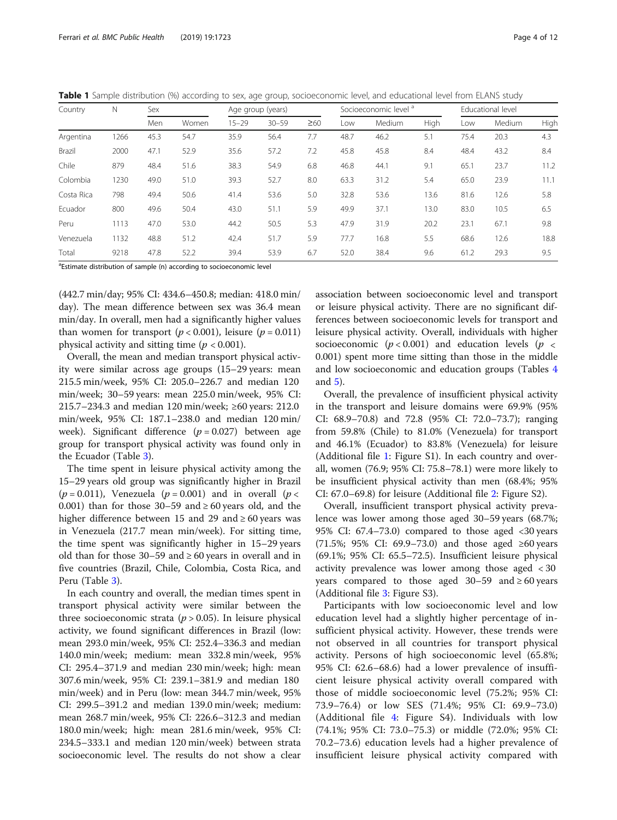<span id="page-3-0"></span>Table 1 Sample distribution (%) according to sex, age group, socioeconomic level, and educational level from ELANS study

| Country       | N    | Sex  |       |           | Age group (years) |           |      | Socioeconomic level <sup>a</sup> |      | Educational level |        |      |
|---------------|------|------|-------|-----------|-------------------|-----------|------|----------------------------------|------|-------------------|--------|------|
|               |      | Men  | Women | $15 - 29$ | $30 - 59$         | $\geq 60$ | Low  | Medium                           | High | Low               | Medium | High |
| Argentina     | 1266 | 45.3 | 54.7  | 35.9      | 56.4              | 7.7       | 48.7 | 46.2                             | 5.1  | 75.4              | 20.3   | 4.3  |
| <b>Brazil</b> | 2000 | 47.1 | 52.9  | 35.6      | 57.2              | 7.2       | 45.8 | 45.8                             | 8.4  | 48.4              | 43.2   | 8.4  |
| Chile         | 879  | 48.4 | 51.6  | 38.3      | 54.9              | 6.8       | 46.8 | 44.1                             | 9.1  | 65.1              | 23.7   | 11.2 |
| Colombia      | 1230 | 49.0 | 51.0  | 39.3      | 52.7              | 8.0       | 63.3 | 31.2                             | 5.4  | 65.0              | 23.9   | 11.1 |
| Costa Rica    | 798  | 49.4 | 50.6  | 41.4      | 53.6              | 5.0       | 32.8 | 53.6                             | 13.6 | 81.6              | 12.6   | 5.8  |
| Ecuador       | 800  | 49.6 | 50.4  | 43.0      | 51.1              | 5.9       | 49.9 | 37.1                             | 13.0 | 83.0              | 10.5   | 6.5  |
| Peru          | 1113 | 47.0 | 53.0  | 44.2      | 50.5              | 5.3       | 47.9 | 31.9                             | 20.2 | 23.1              | 67.1   | 9.8  |
| Venezuela     | 1132 | 48.8 | 51.2  | 42.4      | 51.7              | 5.9       | 77.7 | 16.8                             | 5.5  | 68.6              | 12.6   | 18.8 |
| Total         | 9218 | 47.8 | 52.2  | 39.4      | 53.9              | 6.7       | 52.0 | 38.4                             | 9.6  | 61.2              | 29.3   | 9.5  |

<sup>a</sup>Estimate distribution of sample (n) according to socioeconomic level

(442.7 min/day; 95% CI: 434.6–450.8; median: 418.0 min/ day). The mean difference between sex was 36.4 mean min/day. In overall, men had a significantly higher values than women for transport ( $p < 0.001$ ), leisure ( $p = 0.011$ ) physical activity and sitting time ( $p < 0.001$ ).

Overall, the mean and median transport physical activity were similar across age groups (15–29 years: mean 215.5 min/week, 95% CI: 205.0–226.7 and median 120 min/week; 30–59 years: mean 225.0 min/week, 95% CI: 215.7–234.3 and median 120 min/week; ≥60 years: 212.0 min/week, 95% CI: 187.1–238.0 and median 120 min/ week). Significant difference  $(p = 0.027)$  between age group for transport physical activity was found only in the Ecuador (Table [3](#page-5-0)).

The time spent in leisure physical activity among the 15–29 years old group was significantly higher in Brazil  $(p = 0.011)$ , Venezuela  $(p = 0.001)$  and in overall  $(p <$ 0.001) than for those  $30-59$  and  $\geq 60$  years old, and the higher difference between 15 and 29 and  $\geq 60$  years was in Venezuela (217.7 mean min/week). For sitting time, the time spent was significantly higher in 15–29 years old than for those 30–59 and  $\geq 60$  years in overall and in five countries (Brazil, Chile, Colombia, Costa Rica, and Peru (Table [3\)](#page-5-0).

In each country and overall, the median times spent in transport physical activity were similar between the three socioeconomic strata ( $p > 0.05$ ). In leisure physical activity, we found significant differences in Brazil (low: mean 293.0 min/week, 95% CI: 252.4–336.3 and median 140.0 min/week; medium: mean 332.8 min/week, 95% CI: 295.4–371.9 and median 230 min/week; high: mean 307.6 min/week, 95% CI: 239.1–381.9 and median 180 min/week) and in Peru (low: mean 344.7 min/week, 95% CI: 299.5–391.2 and median 139.0 min/week; medium: mean 268.7 min/week, 95% CI: 226.6–312.3 and median 180.0 min/week; high: mean 281.6 min/week, 95% CI: 234.5–333.1 and median 120 min/week) between strata socioeconomic level. The results do not show a clear association between socioeconomic level and transport or leisure physical activity. There are no significant differences between socioeconomic levels for transport and leisure physical activity. Overall, individuals with higher socioeconomic ( $p < 0.001$ ) and education levels ( $p <$ 0.001) spent more time sitting than those in the middle and low socioeconomic and education groups (Tables [4](#page-6-0) and [5\)](#page-7-0).

Overall, the prevalence of insufficient physical activity in the transport and leisure domains were 69.9% (95% CI: 68.9–70.8) and 72.8 (95% CI: 72.0–73.7); ranging from 59.8% (Chile) to 81.0% (Venezuela) for transport and 46.1% (Ecuador) to 83.8% (Venezuela) for leisure (Additional file [1](#page-9-0): Figure S1). In each country and overall, women (76.9; 95% CI: 75.8–78.1) were more likely to be insufficient physical activity than men (68.4%; 95% CI: 67.0–69.8) for leisure (Additional file [2](#page-9-0): Figure S2).

Overall, insufficient transport physical activity prevalence was lower among those aged 30–59 years (68.7%; 95% CI: 67.4–73.0) compared to those aged <30 years (71.5%; 95% CI: 69.9–73.0) and those aged ≥60 years (69.1%; 95% CI: 65.5–72.5). Insufficient leisure physical activity prevalence was lower among those aged < 30 years compared to those aged  $30-59$  and  $\geq 60$  years (Additional file [3](#page-9-0): Figure S3).

Participants with low socioeconomic level and low education level had a slightly higher percentage of insufficient physical activity. However, these trends were not observed in all countries for transport physical activity. Persons of high socioeconomic level (65.8%; 95% CI: 62.6–68.6) had a lower prevalence of insufficient leisure physical activity overall compared with those of middle socioeconomic level (75.2%; 95% CI: 73.9–76.4) or low SES (71.4%; 95% CI: 69.9–73.0) (Additional file [4:](#page-9-0) Figure S4). Individuals with low (74.1%; 95% CI: 73.0–75.3) or middle (72.0%; 95% CI: 70.2–73.6) education levels had a higher prevalence of insufficient leisure physical activity compared with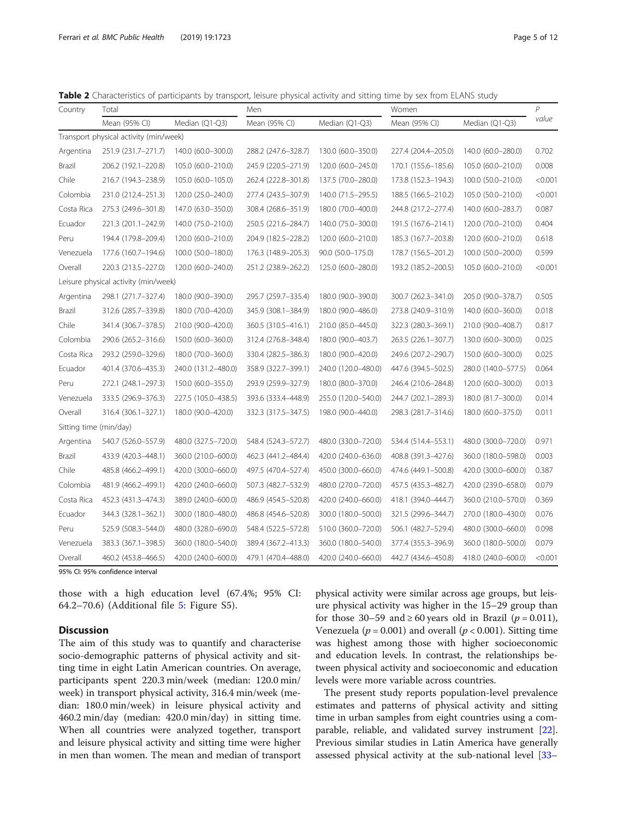<span id="page-4-0"></span>Table 2 Characteristics of participants by transport, leisure physical activity and sitting time by sex from ELANS study

| Country                | Total                                  |                     | Men                 |                     | Women               | $\overline{P}$      |         |
|------------------------|----------------------------------------|---------------------|---------------------|---------------------|---------------------|---------------------|---------|
|                        | Mean (95% CI)                          | Median (Q1-Q3)      | Mean (95% CI)       | Median (Q1-Q3)      | Mean (95% CI)       | Median (Q1-Q3)      | value   |
|                        | Transport physical activity (min/week) |                     |                     |                     |                     |                     |         |
| Argentina              | 251.9 (231.7-271.7)                    | 140.0 (60.0-300.0)  | 288.2 (247.6-328.7) | 130.0 (60.0-350.0)  | 227.4 (204.4-205.0) | 140.0 (60.0-280.0)  | 0.702   |
| Brazil                 | 206.2 (192.1-220.8)                    | 105.0 (60.0-210.0)  | 245.9 (220.5-271.9) | 120.0 (60.0-245.0)  | 170.1 (155.6-185.6) | 105.0 (60.0-210.0)  | 0.008   |
| Chile                  | 216.7 (194.3-238.9)                    | 105.0 (60.0-105.0)  | 262.4 (222.8-301.8) | 137.5 (70.0-280.0)  | 173.8 (152.3-194.3) | 100.0 (50.0-210.0)  | < 0.001 |
| Colombia               | 231.0 (212.4-251.3)                    | 120.0 (25.0-240.0)  | 277.4 (243.5-307.9) | 140.0 (71.5-295.5)  | 188.5 (166.5-210.2) | 105.0 (50.0-210.0)  | < 0.001 |
| Costa Rica             | 275.3 (249.6-301.8)                    | 147.0 (63.0-350.0)  | 308.4 (268.6-351.9) | 180.0 (70.0-400.0)  | 244.8 (217.2-277.4) | 140.0 (60.0-283.7)  | 0.087   |
| Ecuador                | 221.3 (201.1-242.9)                    | 140.0 (75.0-210.0)  | 250.5 (221.6-284.7) | 140.0 (75.0-300.0)  | 191.5 (167.6-214.1) | 120.0 (70.0-210.0)  | 0.404   |
| Peru                   | 194.4 (179.8-209.4)                    | 120.0 (60.0-210.0)  | 204.9 (182.5-228.2) | 120.0 (60.0-210.0)  | 185.3 (167.7-203.8) | 120.0 (60.0-210.0)  | 0.618   |
| Venezuela              | 177.6 (160.7-194.6)                    | 100.0 (50.0-180.0)  | 176.3 (148.9-205.3) | 90.0 (50.0-175.0)   | 178.7 (156.5-201.2) | 100.0 (50.0-200.0)  | 0.599   |
| Overall                | 220.3 (213.5-227.0)                    | 120.0 (60.0-240.0)  | 251.2 (238.9-262.2) | 125.0 (60.0-280.0)  | 193.2 (185.2-200.5) | 105.0 (60.0-210.0)  | < 0.001 |
|                        | Leisure physical activity (min/week)   |                     |                     |                     |                     |                     |         |
| Argentina              | 298.1 (271.7-327.4)                    | 180.0 (90.0-390.0)  | 295.7 (259.7-335.4) | 180.0 (90.0-390.0)  | 300.7 (262.3-341.0) | 205.0 (90.0-378.7)  | 0.505   |
| Brazil                 | 312.6 (285.7-339.8)                    | 180.0 (70.0-420.0)  | 345.9 (308.1-384.9) | 180.0 (90.0-486.0)  | 273.8 (240.9-310.9) | 140.0 (60.0-360.0)  | 0.018   |
| Chile                  | 341.4 (306.7-378.5)                    | 210.0 (90.0-420.0)  | 360.5 (310.5-416.1) | 210.0 (85.0-445.0)  | 322.3 (280.3-369.1) | 210.0 (90.0-408.7)  | 0.817   |
| Colombia               | 290.6 (265.2-316.6)                    | 150.0 (60.0-360.0)  | 312.4 (276.8-348.4) | 180.0 (90.0-403.7)  | 263.5 (226.1-307.7) | 130.0 (60.0-300.0)  | 0.025   |
| Costa Rica             | 293.2 (259.0-329.6)                    | 180.0 (70.0-360.0)  | 330.4 (282.5-386.3) | 180.0 (90.0-420.0)  | 249.6 (207.2-290.7) | 150.0 (60.0-300.0)  | 0.025   |
| Ecuador                | 401.4 (370.6-435.3)                    | 240.0 (131.2-480.0) | 358.9 (322.7-399.1) | 240.0 (120.0-480.0) | 447.6 (394.5-502.5) | 280.0 (140.0-577.5) | 0.064   |
| Peru                   | 272.1 (248.1-297.3)                    | 150.0 (60.0-355.0)  | 293.9 (259.9-327.9) | 180.0 (80.0-370.0)  | 246.4 (210.6-284.8) | 120.0 (60.0-300.0)  | 0.013   |
| Venezuela              | 333.5 (296.9-376.3)                    | 227.5 (105.0-438.5) | 393.6 (333.4-448.9) | 255.0 (120.0-540.0) | 244.7 (202.1-289.3) | 180.0 (81.7-300.0)  | 0.014   |
| Overall                | 316.4 (306.1-327.1)                    | 180.0 (90.0-420.0)  | 332.3 (317.5-347.5) | 198.0 (90.0-440.0)  | 298.3 (281.7-314.6) | 180.0 (60.0-375.0)  | 0.011   |
| Sitting time (min/day) |                                        |                     |                     |                     |                     |                     |         |
| Argentina              | 540.7 (526.0–557.9)                    | 480.0 (327.5-720.0) | 548.4 (524.3-572.7) | 480.0 (330.0-720.0) | 534.4 (514.4–553.1) | 480.0 (300.0-720.0) | 0.971   |
| Brazil                 | 433.9 (420.3-448.1)                    | 360.0 (210.0-600.0) | 462.3 (441.2-484.4) | 420.0 (240.0-636.0) | 408.8 (391.3-427.6) | 360.0 (180.0-598.0) | 0.003   |
| Chile                  | 485.8 (466.2-499.1)                    | 420.0 (300.0-660.0) | 497.5 (470.4-527.4) | 450.0 (300.0-660.0) | 474.6 (449.1-500.8) | 420.0 (300.0-600.0) | 0.387   |
| Colombia               | 481.9 (466.2-499.1)                    | 420.0 (240.0-660.0) | 507.3 (482.7-532.9) | 480.0 (270.0-720.0) | 457.5 (435.3-482.7) | 420.0 (239.0-658.0) | 0.079   |
| Costa Rica             | 452.3 (431.3-474.3)                    | 389.0 (240.0-600.0) | 486.9 (454.5-520.8) | 420.0 (240.0-660.0) | 418.1 (394.0-444.7) | 360.0 (210.0-570.0) | 0.369   |
| Ecuador                | 344.3 (328.1-362.1)                    | 300.0 (180.0-480.0) | 486.8 (454.6-520.8) | 300.0 (180.0-500.0) | 321.5 (299.6-344.7) | 270.0 (180.0-430.0) | 0.076   |
| Peru                   | 525.9 (508.3-544.0)                    | 480.0 (328.0-690.0) | 548.4 (522.5-572.8) | 510.0 (360.0-720.0) | 506.1 (482.7-529.4) | 480.0 (300.0-660.0) | 0.098   |
| Venezuela              | 383.3 (367.1-398.5)                    | 360.0 (180.0-540.0) | 389.4 (367.2-413.3) | 360.0 (180.0-540.0) | 377.4 (355.3-396.9) | 360.0 (180.0-500.0) | 0.079   |
| Overall                | 460.2 (453.8-466.5)                    | 420.0 (240.0-600.0) | 479.1 (470.4-488.0) | 420.0 (240.0-660.0) | 442.7 (434.6-450.8) | 418.0 (240.0-600.0) | < 0.001 |

those with a high education level (67.4%; 95% CI: 64.2–70.6) (Additional file [5](#page-9-0): Figure S5).

#### **Discussion**

The aim of this study was to quantify and characterise socio-demographic patterns of physical activity and sitting time in eight Latin American countries. On average, participants spent 220.3 min/week (median: 120.0 min/ week) in transport physical activity, 316.4 min/week (median: 180.0 min/week) in leisure physical activity and 460.2 min/day (median: 420.0 min/day) in sitting time. When all countries were analyzed together, transport and leisure physical activity and sitting time were higher in men than women. The mean and median of transport

physical activity were similar across age groups, but leisure physical activity was higher in the 15–29 group than for those 30–59 and ≥ 60 years old in Brazil ( $p = 0.011$ ), Venezuela ( $p = 0.001$ ) and overall ( $p < 0.001$ ). Sitting time was highest among those with higher socioeconomic and education levels. In contrast, the relationships between physical activity and socioeconomic and education levels were more variable across countries.

The present study reports population-level prevalence estimates and patterns of physical activity and sitting time in urban samples from eight countries using a comparable, reliable, and validated survey instrument [\[22](#page-10-0)]. Previous similar studies in Latin America have generally assessed physical activity at the sub-national level [[33](#page-10-0)–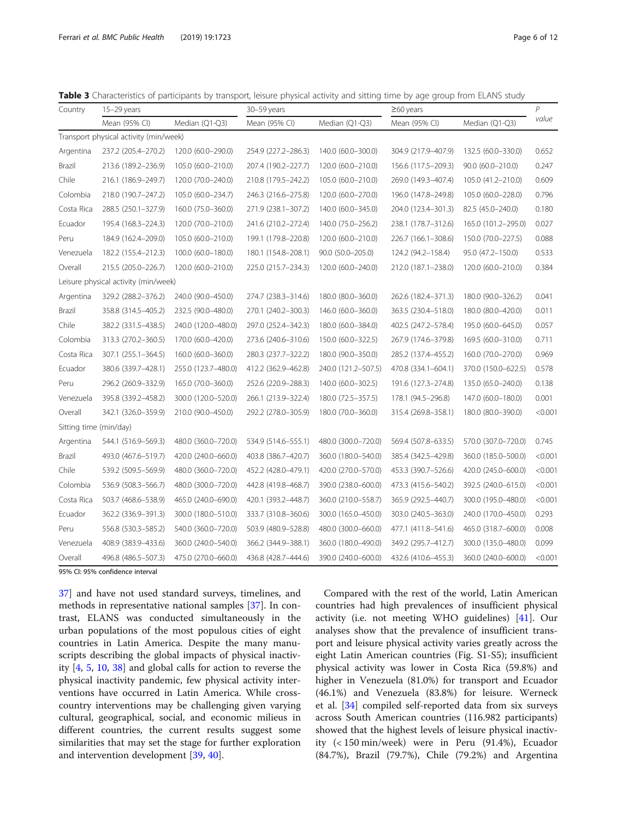<span id="page-5-0"></span>Table 3 Characteristics of participants by transport, leisure physical activity and sitting time by age group from ELANS study

| Country                                | $15-29$ years                        |                     | 30-59 years         |                      | $\geq$ 60 years     | P                   |         |  |  |
|----------------------------------------|--------------------------------------|---------------------|---------------------|----------------------|---------------------|---------------------|---------|--|--|
|                                        | Mean (95% CI)                        | Median (Q1-Q3)      | Mean (95% CI)       | Median (Q1-Q3)       | Mean (95% CI)       | Median (Q1-Q3)      | value   |  |  |
| Transport physical activity (min/week) |                                      |                     |                     |                      |                     |                     |         |  |  |
| Argentina                              | 237.2 (205.4-270.2)                  | 120.0 (60.0-290.0)  | 254.9 (227.2-286.3) | 140.0 (60.0-300.0)   | 304.9 (217.9-407.9) | 132.5 (60.0-330.0)  | 0.652   |  |  |
| Brazil                                 | 213.6 (189.2-236.9)                  | 105.0 (60.0-210.0)  | 207.4 (190.2-227.7) | 120.0 (60.0-210.0)   | 156.6 (117.5-209.3) | 90.0 (60.0-210.0)   | 0.247   |  |  |
| Chile                                  | 216.1 (186.9-249.7)                  | 120.0 (70.0-240.0)  | 210.8 (179.5-242.2) | 105.0 (60.0-210.0)   | 269.0 (149.3-407.4) | 105.0 (41.2-210.0)  | 0.609   |  |  |
| Colombia                               | 218.0 (190.7-247.2)                  | 105.0 (60.0-234.7)  | 246.3 (216.6-275.8) | 120.0 (60.0-270.0)   | 196.0 (147.8-249.8) | 105.0 (60.0-228.0)  | 0.796   |  |  |
| Costa Rica                             | 288.5 (250.1-327.9)                  | 160.0 (75.0-360.0)  | 271.9 (238.1-307.2) | 140.0 (60.0-345.0)   | 204.0 (123.4-301.3) | 82.5 (45.0-240.0)   | 0.180   |  |  |
| Ecuador                                | 195.4 (168.3-224.3)                  | 120.0 (70.0-210.0)  | 241.6 (210.2-272.4) | 140.0 (75.0-256.2)   | 238.1 (178.7-312.6) | 165.0 (101.2-295.0) | 0.027   |  |  |
| Peru                                   | 184.9 (162.4-209.0)                  | 105.0 (60.0-210.0)  | 199.1 (179.8-220.8) | 120.0 (60.0-210.0)   | 226.7 (166.1-308.6) | 150.0 (70.0-227.5)  | 0.088   |  |  |
| Venezuela                              | 182.2 (155.4-212.3)                  | 100.0 (60.0-180.0)  | 180.1 (154.8-208.1) | 90.0 (50.0-205.0)    | 124.2 (94.2-158.4)  | 95.0 (47.2-150.0)   | 0.533   |  |  |
| Overall                                | 215.5 (205.0-226.7)                  | 120.0 (60.0-210.0)  | 225.0 (215.7-234.3) | 120.0 (60.0-240.0)   | 212.0 (187.1-238.0) | 120.0 (60.0-210.0)  | 0.384   |  |  |
|                                        | Leisure physical activity (min/week) |                     |                     |                      |                     |                     |         |  |  |
| Argentina                              | 329.2 (288.2-376.2)                  | 240.0 (90.0-450.0)  | 274.7 (238.3-314.6) | 180.0 (80.0-360.0)   | 262.6 (182.4-371.3) | 180.0 (90.0-326.2)  | 0.041   |  |  |
| Brazil                                 | 358.8 (314.5-405.2)                  | 232.5 (90.0-480.0)  | 270.1 (240.2-300.3) | 146.0 (60.0-360.0)   | 363.5 (230.4-518.0) | 180.0 (80.0-420.0)  | 0.011   |  |  |
| Chile                                  | 382.2 (331.5-438.5)                  | 240.0 (120.0-480.0) | 297.0 (252.4-342.3) | 180.0 (60.0-384.0)   | 402.5 (247.2-578.4) | 195.0 (60.0-645.0)  | 0.057   |  |  |
| Colombia                               | 313.3 (270.2-360.5)                  | 170.0 (60.0-420.0)  | 273.6 (240.6-310.6) | 150.0 (60.0-322.5)   | 267.9 (174.6-379.8) | 169.5 (60.0-310.0)  | 0.711   |  |  |
| Costa Rica                             | 307.1 (255.1-364.5)                  | 160.0 (60.0-360.0)  | 280.3 (237.7-322.2) | 180.0 (90.0-350.0)   | 285.2 (137.4-455.2) | 160.0 (70.0-270.0)  | 0.969   |  |  |
| Ecuador                                | 380.6 (339.7-428.1)                  | 255.0 (123.7-480.0) | 412.2 (362.9-462.8) | 240.0 (121.2-507.5)  | 470.8 (334.1-604.1) | 370.0 (150.0-622.5) | 0.578   |  |  |
| Peru                                   | 296.2 (260.9-332.9)                  | 165.0 (70.0-360.0)  | 252.6 (220.9-288.3) | 140.0 (60.0-302.5)   | 191.6 (127.3–274.8) | 135.0 (65.0-240.0)  | 0.138   |  |  |
| Venezuela                              | 395.8 (339.2-458.2)                  | 300.0 (120.0-520.0) | 266.1 (213.9-322.4) | 180.0 (72.5 - 357.5) | 178.1 (94.5-296.8)  | 147.0 (60.0-180.0)  | 0.001   |  |  |
| Overall                                | 342.1 (326.0-359.9)                  | 210.0 (90.0-450.0)  | 292.2 (278.0-305.9) | 180.0 (70.0-360.0)   | 315.4 (269.8-358.1) | 180.0 (80.0-390.0)  | < 0.001 |  |  |
| Sitting time (min/day)                 |                                      |                     |                     |                      |                     |                     |         |  |  |
| Argentina                              | 544.1 (516.9-569.3)                  | 480.0 (360.0-720.0) | 534.9 (514.6-555.1) | 480.0 (300.0-720.0)  | 569.4 (507.8-633.5) | 570.0 (307.0-720.0) | 0.745   |  |  |
| Brazil                                 | 493.0 (467.6–519.7)                  | 420.0 (240.0-660.0) | 403.8 (386.7-420.7) | 360.0 (180.0-540.0)  | 385.4 (342.5-429.8) | 360.0 (185.0-500.0) | < 0.001 |  |  |
| Chile                                  | 539.2 (509.5-569.9)                  | 480.0 (360.0-720.0) | 452.2 (428.0-479.1) | 420.0 (270.0-570.0)  | 453.3 (390.7-526.6) | 420.0 (245.0-600.0) | < 0.001 |  |  |
| Colombia                               | 536.9 (508.3-566.7)                  | 480.0 (300.0-720.0) | 442.8 (419.8-468.7) | 390.0 (238.0-600.0)  | 473.3 (415.6-540.2) | 392.5 (240.0-615.0) | < 0.001 |  |  |
| Costa Rica                             | 503.7 (468.6-538.9)                  | 465.0 (240.0-690.0) | 420.1 (393.2-448.7) | 360.0 (210.0-558.7)  | 365.9 (292.5-440.7) | 300.0 (195.0-480.0) | < 0.001 |  |  |
| Ecuador                                | 362.2 (336.9-391.3)                  | 300.0 (180.0-510.0) | 333.7 (310.8-360.6) | 300.0 (165.0-450.0)  | 303.0 (240.5-363.0) | 240.0 (170.0-450.0) | 0.293   |  |  |
| Peru                                   | 556.8 (530.3-585.2)                  | 540.0 (360.0-720.0) | 503.9 (480.9-528.8) | 480.0 (300.0-660.0)  | 477.1 (411.8-541.6) | 465.0 (318.7-600.0) | 0.008   |  |  |
| Venezuela                              | 408.9 (383.9-433.6)                  | 360.0 (240.0-540.0) | 366.2 (344.9-388.1) | 360.0 (180.0-490.0)  | 349.2 (295.7-412.7) | 300.0 (135.0-480.0) | 0.099   |  |  |
| Overall                                | 496.8 (486.5-507.3)                  | 475.0 (270.0-660.0) | 436.8 (428.7-444.6) | 390.0 (240.0-600.0)  | 432.6 (410.6-455.3) | 360.0 (240.0-600.0) | < 0.001 |  |  |

[37\]](#page-10-0) and have not used standard surveys, timelines, and methods in representative national samples [[37\]](#page-10-0). In contrast, ELANS was conducted simultaneously in the urban populations of the most populous cities of eight countries in Latin America. Despite the many manuscripts describing the global impacts of physical inactivity [\[4](#page-10-0), [5](#page-10-0), [10](#page-10-0), [38](#page-10-0)] and global calls for action to reverse the physical inactivity pandemic, few physical activity interventions have occurred in Latin America. While crosscountry interventions may be challenging given varying cultural, geographical, social, and economic milieus in different countries, the current results suggest some similarities that may set the stage for further exploration and intervention development [\[39,](#page-10-0) [40\]](#page-10-0).

Compared with the rest of the world, Latin American countries had high prevalences of insufficient physical activity (i.e. not meeting WHO guidelines) [\[41\]](#page-10-0). Our analyses show that the prevalence of insufficient transport and leisure physical activity varies greatly across the eight Latin American countries (Fig. S1-S5); insufficient physical activity was lower in Costa Rica (59.8%) and higher in Venezuela (81.0%) for transport and Ecuador (46.1%) and Venezuela (83.8%) for leisure. Werneck et al. [[34\]](#page-10-0) compiled self-reported data from six surveys across South American countries (116.982 participants) showed that the highest levels of leisure physical inactivity (< 150 min/week) were in Peru (91.4%), Ecuador (84.7%), Brazil (79.7%), Chile (79.2%) and Argentina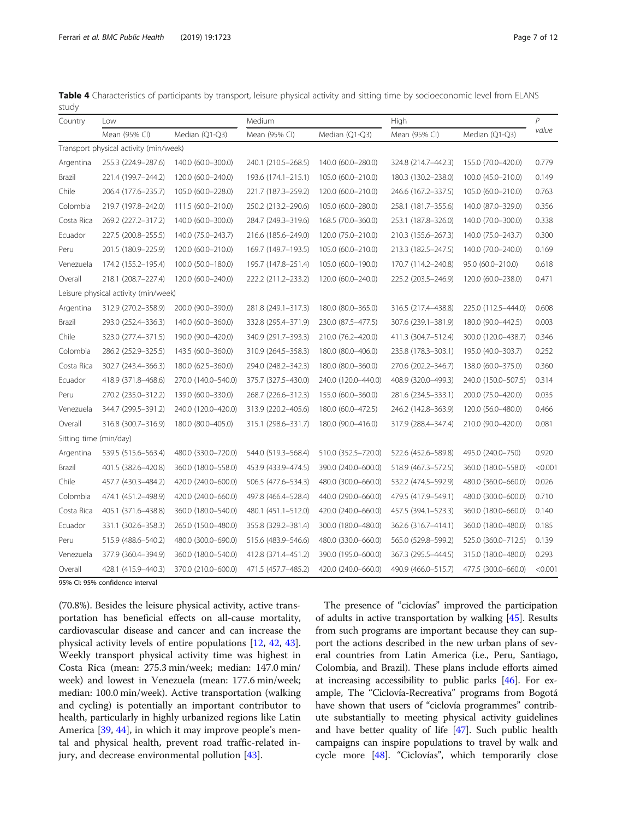<span id="page-6-0"></span>Table 4 Characteristics of participants by transport, leisure physical activity and sitting time by socioeconomic level from ELANS study

| Country                | Low                                    |                     | Medium              |                     | High                |                     | $\mathsf{P}$ |
|------------------------|----------------------------------------|---------------------|---------------------|---------------------|---------------------|---------------------|--------------|
|                        | Mean (95% CI)                          | Median (Q1-Q3)      | Mean (95% CI)       | Median (Q1-Q3)      | Mean (95% CI)       | Median (Q1-Q3)      | value        |
|                        | Transport physical activity (min/week) |                     |                     |                     |                     |                     |              |
| Argentina              | 255.3 (224.9-287.6)                    | 140.0 (60.0-300.0)  | 240.1 (210.5-268.5) | 140.0 (60.0-280.0)  | 324.8 (214.7-442.3) | 155.0 (70.0-420.0)  | 0.779        |
| Brazil                 | 221.4 (199.7-244.2)                    | 120.0 (60.0-240.0)  | 193.6 (174.1-215.1) | 105.0 (60.0-210.0)  | 180.3 (130.2-238.0) | 100.0 (45.0-210.0)  | 0.149        |
| Chile                  | 206.4 (177.6-235.7)                    | 105.0 (60.0-228.0)  | 221.7 (187.3-259.2) | 120.0 (60.0-210.0)  | 246.6 (167.2-337.5) | 105.0 (60.0-210.0)  | 0.763        |
| Colombia               | 219.7 (197.8-242.0)                    | 111.5 (60.0-210.0)  | 250.2 (213.2-290.6) | 105.0 (60.0-280.0)  | 258.1 (181.7-355.6) | 140.0 (87.0-329.0)  | 0.356        |
| Costa Rica             | 269.2 (227.2-317.2)                    | 140.0 (60.0-300.0)  | 284.7 (249.3-319.6) | 168.5 (70.0-360.0)  | 253.1 (187.8-326.0) | 140.0 (70.0-300.0)  | 0.338        |
| Ecuador                | 227.5 (200.8-255.5)                    | 140.0 (75.0-243.7)  | 216.6 (185.6-249.0) | 120.0 (75.0-210.0)  | 210.3 (155.6-267.3) | 140.0 (75.0-243.7)  | 0.300        |
| Peru                   | 201.5 (180.9-225.9)                    | 120.0 (60.0-210.0)  | 169.7 (149.7-193.5) | 105.0 (60.0-210.0)  | 213.3 (182.5-247.5) | 140.0 (70.0-240.0)  | 0.169        |
| Venezuela              | 174.2 (155.2–195.4)                    | 100.0 (50.0-180.0)  | 195.7 (147.8–251.4) | 105.0 (60.0-190.0)  | 170.7 (114.2–240.8) | 95.0 (60.0-210.0)   | 0.618        |
| Overall                | 218.1 (208.7-227.4)                    | 120.0 (60.0-240.0)  | 222.2 (211.2-233.2) | 120.0 (60.0-240.0)  | 225.2 (203.5-246.9) | 120.0 (60.0-238.0)  | 0.471        |
|                        | Leisure physical activity (min/week)   |                     |                     |                     |                     |                     |              |
| Argentina              | 312.9 (270.2-358.9)                    | 200.0 (90.0-390.0)  | 281.8 (249.1-317.3) | 180.0 (80.0-365.0)  | 316.5 (217.4-438.8) | 225.0 (112.5-444.0) | 0.608        |
| Brazil                 | 293.0 (252.4-336.3)                    | 140.0 (60.0-360.0)  | 332.8 (295.4-371.9) | 230.0 (87.5-477.5)  | 307.6 (239.1-381.9) | 180.0 (90.0-442.5)  | 0.003        |
| Chile                  | 323.0 (277.4–371.5)                    | 190.0 (90.0-420.0)  | 340.9 (291.7–393.3) | 210.0 (76.2-420.0)  | 411.3 (304.7–512.4) | 300.0 (120.0–438.7) | 0.346        |
| Colombia               | 286.2 (252.9-325.5)                    | 143.5 (60.0-360.0)  | 310.9 (264.5-358.3) | 180.0 (80.0-406.0)  | 235.8 (178.3-303.1) | 195.0 (40.0-303.7)  | 0.252        |
| Costa Rica             | 302.7 (243.4-366.3)                    | 180.0 (62.5-360.0)  | 294.0 (248.2-342.3) | 180.0 (80.0-360.0)  | 270.6 (202.2-346.7) | 138.0 (60.0-375.0)  | 0.360        |
| Ecuador                | 418.9 (371.8-468.6)                    | 270.0 (140.0-540.0) | 375.7 (327.5–430.0) | 240.0 (120.0-440.0) | 408.9 (320.0–499.3) | 240.0 (150.0–507.5) | 0.314        |
| Peru                   | 270.2 (235.0-312.2)                    | 139.0 (60.0-330.0)  | 268.7 (226.6-312.3) | 155.0 (60.0-360.0)  | 281.6 (234.5-333.1) | 200.0 (75.0-420.0)  | 0.035        |
| Venezuela              | 344.7 (299.5-391.2)                    | 240.0 (120.0-420.0) | 313.9 (220.2-405.6) | 180.0 (60.0-472.5)  | 246.2 (142.8-363.9) | 120.0 (56.0-480.0)  | 0.466        |
| Overall                | 316.8 (300.7-316.9)                    | 180.0 (80.0-405.0)  | 315.1 (298.6–331.7) | 180.0 (90.0-416.0)  | 317.9 (288.4–347.4) | 210.0 (90.0-420.0)  | 0.081        |
| Sitting time (min/day) |                                        |                     |                     |                     |                     |                     |              |
| Argentina              | 539.5 (515.6-563.4)                    | 480.0 (330.0-720.0) | 544.0 (519.3-568.4) | 510.0 (352.5-720.0) | 522.6 (452.6-589.8) | 495.0 (240.0-750)   | 0.920        |
| Brazil                 | 401.5 (382.6-420.8)                    | 360.0 (180.0-558.0) | 453.9 (433.9-474.5) | 390.0 (240.0-600.0) | 518.9 (467.3-572.5) | 360.0 (180.0-558.0) | < 0.001      |
| Chile                  | 457.7 (430.3-484.2)                    | 420.0 (240.0-600.0) | 506.5 (477.6-534.3) | 480.0 (300.0-660.0) | 532.2 (474.5-592.9) | 480.0 (360.0-660.0) | 0.026        |
| Colombia               | 474.1 (451.2-498.9)                    | 420.0 (240.0-660.0) | 497.8 (466.4–528.4) | 440.0 (290.0-660.0) | 479.5 (417.9–549.1) | 480.0 (300.0-600.0) | 0.710        |
| Costa Rica             | 405.1 (371.6-438.8)                    | 360.0 (180.0-540.0) | 480.1 (451.1-512.0) | 420.0 (240.0-660.0) | 457.5 (394.1-523.3) | 360.0 (180.0-660.0) | 0.140        |
| Ecuador                | 331.1 (302.6-358.3)                    | 265.0 (150.0-480.0) | 355.8 (329.2-381.4) | 300.0 (180.0-480.0) | 362.6 (316.7-414.1) | 360.0 (180.0-480.0) | 0.185        |
| Peru                   | 515.9 (488.6–540.2)                    | 480.0 (300.0-690.0) | 515.6 (483.9–546.6) | 480.0 (330.0-660.0) | 565.0 (529.8-599.2) | 525.0 (360.0-712.5) | 0.139        |
| Venezuela              | 377.9 (360.4-394.9)                    | 360.0 (180.0-540.0) | 412.8 (371.4-451.2) | 390.0 (195.0-600.0) | 367.3 (295.5-444.5) | 315.0 (180.0-480.0) | 0.293        |
| Overall                | 428.1 (415.9-440.3)                    | 370.0 (210.0-600.0) | 471.5 (457.7-485.2) | 420.0 (240.0-660.0) | 490.9 (466.0-515.7) | 477.5 (300.0-660.0) | < 0.001      |

(70.8%). Besides the leisure physical activity, active transportation has beneficial effects on all-cause mortality, cardiovascular disease and cancer and can increase the physical activity levels of entire populations [\[12](#page-10-0), [42,](#page-10-0) [43](#page-10-0)]. Weekly transport physical activity time was highest in Costa Rica (mean: 275.3 min/week; median: 147.0 min/ week) and lowest in Venezuela (mean: 177.6 min/week; median: 100.0 min/week). Active transportation (walking and cycling) is potentially an important contributor to health, particularly in highly urbanized regions like Latin America [\[39](#page-10-0), [44](#page-10-0)], in which it may improve people's mental and physical health, prevent road traffic-related injury, and decrease environmental pollution [[43](#page-10-0)].

The presence of "ciclovías" improved the participation of adults in active transportation by walking [[45](#page-11-0)]. Results from such programs are important because they can support the actions described in the new urban plans of several countries from Latin America (i.e., Peru, Santiago, Colombia, and Brazil). These plans include efforts aimed at increasing accessibility to public parks [\[46\]](#page-11-0). For example, The "Ciclovía-Recreativa" programs from Bogotá have shown that users of "ciclovía programmes" contribute substantially to meeting physical activity guidelines and have better quality of life [\[47\]](#page-11-0). Such public health campaigns can inspire populations to travel by walk and cycle more [\[48\]](#page-11-0). "Ciclovías", which temporarily close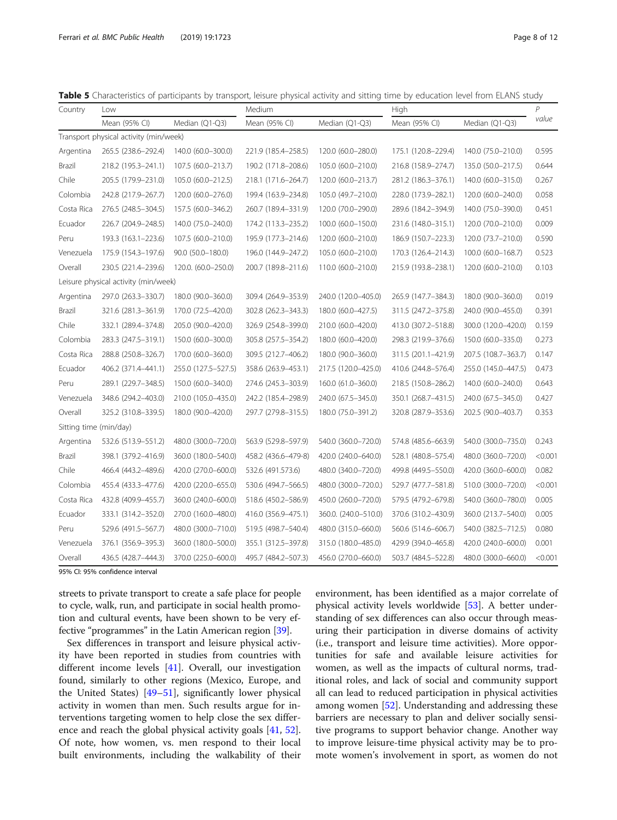<span id="page-7-0"></span>Table 5 Characteristics of participants by transport, leisure physical activity and sitting time by education level from ELANS study

| Country                | Low                                    |                     | Medium              |                      | High                | $\overline{P}$       |         |  |
|------------------------|----------------------------------------|---------------------|---------------------|----------------------|---------------------|----------------------|---------|--|
|                        | Mean (95% CI)                          | Median (Q1-Q3)      | Mean (95% CI)       |                      | Mean (95% CI)       | Median (Q1-Q3)       | value   |  |
|                        | Transport physical activity (min/week) |                     |                     |                      |                     |                      |         |  |
| Argentina              | 265.5 (238.6-292.4)                    | 140.0 (60.0-300.0)  | 221.9 (185.4-258.5) | 120.0 (60.0-280.0)   | 175.1 (120.8-229.4) | 140.0 (75.0-210.0)   | 0.595   |  |
| Brazil                 | 218.2 (195.3-241.1)                    | 107.5 (60.0-213.7)  | 190.2 (171.8-208.6) | 105.0 (60.0-210.0)   | 216.8 (158.9-274.7) | 135.0 (50.0-217.5)   | 0.644   |  |
| Chile                  | 205.5 (179.9-231.0)                    | 105.0 (60.0-212.5)  | 218.1 (171.6-264.7) | 120.0 (60.0-213.7)   | 281.2 (186.3-376.1) | 140.0 (60.0-315.0)   | 0.267   |  |
| Colombia               | 242.8 (217.9-267.7)                    | 120.0 (60.0-276.0)  | 199.4 (163.9-234.8) | 105.0 (49.7-210.0)   | 228.0 (173.9-282.1) | 120.0 (60.0-240.0)   | 0.058   |  |
| Costa Rica             | 276.5 (248.5-304.5)                    | 157.5 (60.0-346.2)  | 260.7 (189.4-331.9) | 120.0 (70.0-290.0)   | 289.6 (184.2-394.9) | 140.0 (75.0-390.0)   | 0.451   |  |
| Ecuador                | 226.7 (204.9-248.5)                    | 140.0 (75.0-240.0)  | 174.2 (113.3-235.2) | 100.0 (60.0-150.0)   | 231.6 (148.0-315.1) | 120.0 (70.0-210.0)   | 0.009   |  |
| Peru                   | 193.3 (163.1-223.6)                    | 107.5 (60.0-210.0)  | 195.9 (177.3-214.6) | 120.0 (60.0-210.0)   | 186.9 (150.7-223.3) | 120.0 (73.7-210.0)   | 0.590   |  |
| Venezuela              | 175.9 (154.3-197.6)                    | 90.0 (50.0-180.0)   | 196.0 (144.9-247.2) | 105.0 (60.0-210.0)   | 170.3 (126.4-214.3) | 100.0 (60.0-168.7)   | 0.523   |  |
| Overall                | 230.5 (221.4-239.6)                    | 120.0. (60.0-250.0) | 200.7 (189.8-211.6) | 110.0 (60.0-210.0)   | 215.9 (193.8-238.1) | 120.0 (60.0-210.0)   | 0.103   |  |
|                        | Leisure physical activity (min/week)   |                     |                     |                      |                     |                      |         |  |
| Argentina              | 297.0 (263.3-330.7)                    | 180.0 (90.0-360.0)  | 309.4 (264.9-353.9) | 240.0 (120.0-405.0)  | 265.9 (147.7-384.3) | 180.0 (90.0-360.0)   | 0.019   |  |
| Brazil                 | 321.6 (281.3-361.9)                    | 170.0 (72.5-420.0)  | 302.8 (262.3-343.3) | 180.0 (60.0-427.5)   | 311.5 (247.2-375.8) | 240.0 (90.0-455.0)   | 0.391   |  |
| Chile                  | 332.1 (289.4-374.8)                    | 205.0 (90.0-420.0)  | 326.9 (254.8-399.0) | 210.0 (60.0-420.0)   | 413.0 (307.2-518.8) | 300.0 (120.0-420.0)  | 0.159   |  |
| Colombia               | 283.3 (247.5-319.1)                    | 150.0 (60.0-300.0)  | 305.8 (257.5-354.2) | 180.0 (60.0-420.0)   | 298.3 (219.9-376.6) | 150.0 (60.0-335.0)   | 0.273   |  |
| Costa Rica             | 288.8 (250.8-326.7)                    | 170.0 (60.0-360.0)  | 309.5 (212.7-406.2) | 180.0 (90.0-360.0)   | 311.5 (201.1-421.9) | 207.5 (108.7-363.7)  | 0.147   |  |
| Ecuador                | 406.2 (371.4-441.1)                    | 255.0 (127.5-527.5) | 358.6 (263.9-453.1) | 217.5 (120.0-425.0)  | 410.6 (244.8-576.4) | 255.0 (145.0-447.5)  | 0.473   |  |
| Peru                   | 289.1 (229.7-348.5)                    | 150.0 (60.0-340.0)  | 274.6 (245.3-303.9) | 160.0 (61.0-360.0)   | 218.5 (150.8-286.2) | 140.0 (60.0-240.0)   | 0.643   |  |
| Venezuela              | 348.6 (294.2-403.0)                    | 210.0 (105.0-435.0) | 242.2 (185.4-298.9) | 240.0 (67.5 - 345.0) | 350.1 (268.7-431.5) | 240.0 (67.5 - 345.0) | 0.427   |  |
| Overall                | 325.2 (310.8-339.5)                    | 180.0 (90.0-420.0)  | 297.7 (279.8-315.5) | 180.0 (75.0-391.2)   | 320.8 (287.9-353.6) | 202.5 (90.0-403.7)   | 0.353   |  |
| Sitting time (min/day) |                                        |                     |                     |                      |                     |                      |         |  |
| Argentina              | 532.6 (513.9-551.2)                    | 480.0 (300.0-720.0) | 563.9 (529.8-597.9) | 540.0 (360.0-720.0)  | 574.8 (485.6-663.9) | 540.0 (300.0-735.0)  | 0.243   |  |
| Brazil                 | 398.1 (379.2-416.9)                    | 360.0 (180.0-540.0) | 458.2 (436.6-479-8) | 420.0 (240.0-640.0)  | 528.1 (480.8-575.4) | 480.0 (360.0-720.0)  | < 0.001 |  |
| Chile                  | 466.4 (443.2-489.6)                    | 420.0 (270.0-600.0) | 532.6 (491.573.6)   | 480.0 (340.0-720.0)  | 499.8 (449.5-550.0) | 420.0 (360.0-600.0)  | 0.082   |  |
| Colombia               | 455.4 (433.3-477.6)                    | 420.0 (220.0-655.0) | 530.6 (494.7-566.5) | 480.0 (300.0-720.0.) | 529.7 (477.7-581.8) | 510.0 (300.0-720.0)  | < 0.001 |  |
| Costa Rica             | 432.8 (409.9-455.7)                    | 360.0 (240.0-600.0) | 518.6 (450.2-586.9) | 450.0 (260.0-720.0)  | 579.5 (479.2-679.8) | 540.0 (360.0-780.0)  | 0.005   |  |
| Ecuador                | 333.1 (314.2-352.0)                    | 270.0 (160.0-480.0) | 416.0 (356.9-475.1) | 360.0. (240.0-510.0) | 370.6 (310.2-430.9) | 360.0 (213.7-540.0)  | 0.005   |  |
| Peru                   | 529.6 (491.5-567.7)                    | 480.0 (300.0-710.0) | 519.5 (498.7-540.4) | 480.0 (315.0-660.0)  | 560.6 (514.6–606.7) | 540.0 (382.5-712.5)  | 0.080   |  |
| Venezuela              | 376.1 (356.9-395.3)                    | 360.0 (180.0-500.0) | 355.1 (312.5-397.8) | 315.0 (180.0-485.0)  | 429.9 (394.0-465.8) | 420.0 (240.0-600.0)  | 0.001   |  |
| Overall                | 436.5 (428.7-444.3)                    | 370.0 (225.0-600.0) | 495.7 (484.2-507.3) | 456.0 (270.0-660.0)  | 503.7 (484.5-522.8) | 480.0 (300.0-660.0)  | < 0.001 |  |

streets to private transport to create a safe place for people to cycle, walk, run, and participate in social health promotion and cultural events, have been shown to be very effective "programmes" in the Latin American region [\[39\]](#page-10-0).

Sex differences in transport and leisure physical activity have been reported in studies from countries with different income levels [\[41](#page-10-0)]. Overall, our investigation found, similarly to other regions (Mexico, Europe, and the United States) [[49](#page-11-0)–[51](#page-11-0)], significantly lower physical activity in women than men. Such results argue for interventions targeting women to help close the sex difference and reach the global physical activity goals [\[41](#page-10-0), [52](#page-11-0)]. Of note, how women, vs. men respond to their local built environments, including the walkability of their

environment, has been identified as a major correlate of physical activity levels worldwide [[53\]](#page-11-0). A better understanding of sex differences can also occur through measuring their participation in diverse domains of activity (i.e., transport and leisure time activities). More opportunities for safe and available leisure activities for women, as well as the impacts of cultural norms, traditional roles, and lack of social and community support all can lead to reduced participation in physical activities among women [[52](#page-11-0)]. Understanding and addressing these barriers are necessary to plan and deliver socially sensitive programs to support behavior change. Another way to improve leisure-time physical activity may be to promote women's involvement in sport, as women do not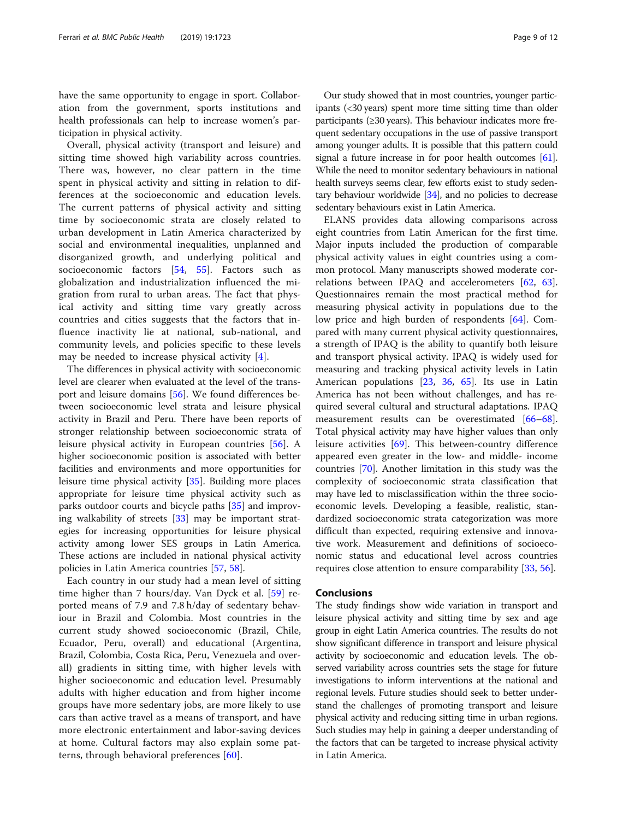have the same opportunity to engage in sport. Collaboration from the government, sports institutions and health professionals can help to increase women's participation in physical activity.

Overall, physical activity (transport and leisure) and sitting time showed high variability across countries. There was, however, no clear pattern in the time spent in physical activity and sitting in relation to differences at the socioeconomic and education levels. The current patterns of physical activity and sitting time by socioeconomic strata are closely related to urban development in Latin America characterized by social and environmental inequalities, unplanned and disorganized growth, and underlying political and socioeconomic factors [\[54](#page-11-0), [55\]](#page-11-0). Factors such as globalization and industrialization influenced the migration from rural to urban areas. The fact that physical activity and sitting time vary greatly across countries and cities suggests that the factors that influence inactivity lie at national, sub-national, and community levels, and policies specific to these levels may be needed to increase physical activity [\[4](#page-10-0)].

The differences in physical activity with socioeconomic level are clearer when evaluated at the level of the transport and leisure domains [[56\]](#page-11-0). We found differences between socioeconomic level strata and leisure physical activity in Brazil and Peru. There have been reports of stronger relationship between socioeconomic strata of leisure physical activity in European countries [\[56](#page-11-0)]. A higher socioeconomic position is associated with better facilities and environments and more opportunities for leisure time physical activity [[35\]](#page-10-0). Building more places appropriate for leisure time physical activity such as parks outdoor courts and bicycle paths [\[35](#page-10-0)] and improving walkability of streets [\[33](#page-10-0)] may be important strategies for increasing opportunities for leisure physical activity among lower SES groups in Latin America. These actions are included in national physical activity policies in Latin America countries [[57](#page-11-0), [58](#page-11-0)].

Each country in our study had a mean level of sitting time higher than 7 hours/day. Van Dyck et al. [[59\]](#page-11-0) reported means of 7.9 and 7.8 h/day of sedentary behaviour in Brazil and Colombia. Most countries in the current study showed socioeconomic (Brazil, Chile, Ecuador, Peru, overall) and educational (Argentina, Brazil, Colombia, Costa Rica, Peru, Venezuela and overall) gradients in sitting time, with higher levels with higher socioeconomic and education level. Presumably adults with higher education and from higher income groups have more sedentary jobs, are more likely to use cars than active travel as a means of transport, and have more electronic entertainment and labor-saving devices at home. Cultural factors may also explain some patterns, through behavioral preferences [[60\]](#page-11-0).

Our study showed that in most countries, younger participants (<30 years) spent more time sitting time than older participants (≥30 years). This behaviour indicates more frequent sedentary occupations in the use of passive transport among younger adults. It is possible that this pattern could signal a future increase in for poor health outcomes [\[61](#page-11-0)]. While the need to monitor sedentary behaviours in national health surveys seems clear, few efforts exist to study sedentary behaviour worldwide [\[34\]](#page-10-0), and no policies to decrease sedentary behaviours exist in Latin America.

ELANS provides data allowing comparisons across eight countries from Latin American for the first time. Major inputs included the production of comparable physical activity values in eight countries using a common protocol. Many manuscripts showed moderate correlations between IPAQ and accelerometers [[62](#page-11-0), [63](#page-11-0)]. Questionnaires remain the most practical method for measuring physical activity in populations due to the low price and high burden of respondents [\[64](#page-11-0)]. Compared with many current physical activity questionnaires, a strength of IPAQ is the ability to quantify both leisure and transport physical activity. IPAQ is widely used for measuring and tracking physical activity levels in Latin American populations [\[23](#page-10-0), [36,](#page-10-0) [65](#page-11-0)]. Its use in Latin America has not been without challenges, and has required several cultural and structural adaptations. IPAQ measurement results can be overestimated [[66](#page-11-0)–[68](#page-11-0)]. Total physical activity may have higher values than only leisure activities [[69](#page-11-0)]. This between-country difference appeared even greater in the low- and middle- income countries [[70](#page-11-0)]. Another limitation in this study was the complexity of socioeconomic strata classification that may have led to misclassification within the three socioeconomic levels. Developing a feasible, realistic, standardized socioeconomic strata categorization was more difficult than expected, requiring extensive and innovative work. Measurement and definitions of socioeconomic status and educational level across countries requires close attention to ensure comparability [[33](#page-10-0), [56](#page-11-0)].

#### Conclusions

The study findings show wide variation in transport and leisure physical activity and sitting time by sex and age group in eight Latin America countries. The results do not show significant difference in transport and leisure physical activity by socioeconomic and education levels. The observed variability across countries sets the stage for future investigations to inform interventions at the national and regional levels. Future studies should seek to better understand the challenges of promoting transport and leisure physical activity and reducing sitting time in urban regions. Such studies may help in gaining a deeper understanding of the factors that can be targeted to increase physical activity in Latin America.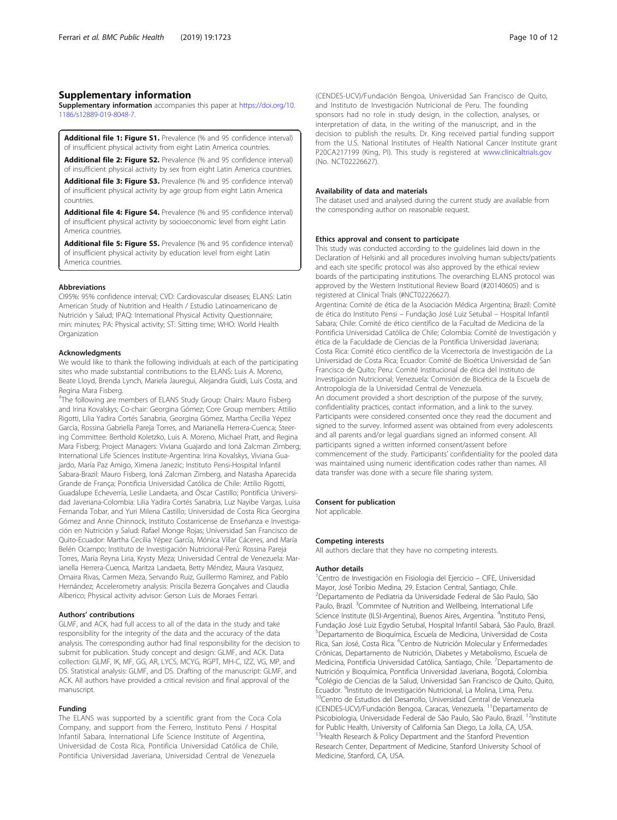#### <span id="page-9-0"></span>Supplementary information

Supplementary information accompanies this paper at [https://doi.org/10.](https://doi.org/10.1186/s12889-019-8048-7) [1186/s12889-019-8048-7.](https://doi.org/10.1186/s12889-019-8048-7)

Additional file 1: Figure S1. Prevalence (% and 95 confidence interval) of insufficient physical activity from eight Latin America countries.

Additional file 2: Figure S2. Prevalence (% and 95 confidence interval) of insufficient physical activity by sex from eight Latin America countries.

Additional file 3: Figure S3. Prevalence (% and 95 confidence interval) of insufficient physical activity by age group from eight Latin America countries.

Additional file 4: Figure S4. Prevalence (% and 95 confidence interval) of insufficient physical activity by socioeconomic level from eight Latin America countries.

Additional file 5: Figure S5. Prevalence (% and 95 confidence interval) of insufficient physical activity by education level from eight Latin America countries.

#### Abbreviations

CI95%: 95% confidence interval; CVD: Cardiovascular diseases; ELANS: Latin American Study of Nutrition and Health / Estudio Latinoamericano de Nutrición y Salud; IPAQ: International Physical Activity Questionnaire; min: minutes; PA: Physical activity; ST: Sitting time; WHO: World Health Organization

#### Acknowledgments

We would like to thank the following individuals at each of the participating sites who made substantial contributions to the ELANS: Luis A. Moreno, Beate Lloyd, Brenda Lynch, Mariela Jauregui, Alejandra Guidi, Luis Costa, and Regina Mara Fisberg.

‡ The following are members of ELANS Study Group: Chairs: Mauro Fisberg and Irina Kovalskys; Co-chair: Georgina Gómez; Core Group members: Attilio Rigotti, Lilia Yadira Cortés Sanabria, Georgina Gómez, Martha Cecilia Yépez García, Rossina Gabriella Pareja Torres, and Marianella Herrera-Cuenca; Steering Committee: Berthold Koletzko, Luis A. Moreno, Michael Pratt, and Regina Mara Fisberg; Project Managers: Viviana Guajardo and Ioná Zalcman Zimberg; International Life Sciences Institute-Argentina: Irina Kovalskys, Viviana Guajardo, María Paz Amigo, Ximena Janezic; Instituto Pensi-Hospital Infantil Sabara-Brazil: Mauro Fisberg, Ioná Zalcman Zimberg, and Natasha Aparecida Grande de França; Pontificia Universidad Católica de Chile: Attilio Rigotti, Guadalupe Echeverría, Leslie Landaeta, and Óscar Castillo; Pontificia Universidad Javeriana-Colombia: Lilia Yadira Cortés Sanabria, Luz Nayibe Vargas, Luisa Fernanda Tobar, and Yuri Milena Castillo; Universidad de Costa Rica Georgina Gómez and Anne Chinnock, Instituto Costarricense de Enseñanza e Investigación en Nutrición y Salud: Rafael Monge Rojas; Universidad San Francisco de Quito-Ecuador: Martha Cecilia Yépez García, Mónica Villar Cáceres, and María Belén Ocampo; Instituto de Investigación Nutricional-Perú: Rossina Pareja Torres, María Reyna Liria, Krysty Meza; Universidad Central de Venezuela: Marianella Herrera-Cuenca, Maritza Landaeta, Betty Méndez, Maura Vasquez, Omaira Rivas, Carmen Meza, Servando Ruiz, Guillermo Ramirez, and Pablo Hernández; Accelerometry analysis: Priscila Bezerra Gonçalves and Claudia Alberico; Physical activity advisor: Gerson Luis de Moraes Ferrari.

#### Authors' contributions

GLMF, and ACK, had full access to all of the data in the study and take responsibility for the integrity of the data and the accuracy of the data analysis. The corresponding author had final responsibility for the decision to submit for publication. Study concept and design: GLMF, and ACK. Data collection: GLMF, IK, MF, GG, AR, LYCS, MCYG, RGPT, MH-C, IZZ, VG, MP, and DS. Statistical analysis: GLMF, and DS. Drafting of the manuscript: GLMF, and ACK. All authors have provided a critical revision and final approval of the manuscript.

#### Funding

The ELANS was supported by a scientific grant from the Coca Cola Company, and support from the Ferrero, Instituto Pensi / Hospital Infantil Sabara, International Life Science Institute of Argentina, Universidad de Costa Rica, Pontificia Universidad Católica de Chile, Pontificia Universidad Javeriana, Universidad Central de Venezuela

(CENDES-UCV)/Fundación Bengoa, Universidad San Francisco de Quito, and Instituto de Investigación Nutricional de Peru. The founding sponsors had no role in study design, in the collection, analyses, or interpretation of data, in the writing of the manuscript, and in the decision to publish the results. Dr. King received partial funding support from the U.S. National Institutes of Health National Cancer Institute grant P20CA217199 (King, PI). This study is registered at [www.clinicaltrials.gov](http://www.clinicaltrials.gov) (No. NCT02226627).

#### Availability of data and materials

The dataset used and analysed during the current study are available from the corresponding author on reasonable request.

#### Ethics approval and consent to participate

This study was conducted according to the guidelines laid down in the Declaration of Helsinki and all procedures involving human subjects/patients and each site specific protocol was also approved by the ethical review boards of the participating institutions. The overarching ELANS protocol was approved by the Western Institutional Review Board (#20140605) and is registered at Clinical Trials (#NCT02226627).

Argentina: Comité de ética de la Asociación Médica Argentina; Brazil: Comité de ética do Instituto Pensi – Fundação José Luiz Setubal – Hospital Infantil Sabara; Chile: Comité de ético científico de la Facultad de Medicina de la Pontificia Universidad Católica de Chile; Colombia: Comité de Investigación y ética de la Faculdade de Ciencias de la Pontificia Universidad Javeriana; Costa Rica: Comité ético científico de la Vicerrectoría de Investigación de La Universidad de Costa Rica; Ecuador: Comité de Bioética Universidad de San Francisco de Quito; Peru: Comité Institucional de ética del Instituto de Investigación Nutricional; Venezuela: Comisión de Bioética de la Escuela de Antropología de la Universidad Central de Venezuela. An document provided a short description of the purpose of the survey, confidentiality practices, contact information, and a link to the survey. Participants were considered consented once they read the document and

signed to the survey. Informed assent was obtained from every adolescents and all parents and/or legal guardians signed an informed consent. All participants signed a written informed consent/assent before commencement of the study. Participants' confidentiality for the pooled data was maintained using numeric identification codes rather than names. All data transfer was done with a secure file sharing system.

#### Consent for publication

Not applicable.

#### Competing interests

All authors declare that they have no competing interests.

#### Author details

<sup>1</sup> Centro de Investigación en Fisiologia del Ejercicio - CIFE, Universidad Mayor, José Toribio Medina, 29. Estacion Central, Santiago, Chile. 2 Departamento de Pediatria da Universidade Federal de São Paulo, São Paulo, Brazil. <sup>3</sup> Commitee of Nutrition and Wellbeing, International Life Science Institute (ILSI-Argentina), Buenos Aires, Argentina. <sup>4</sup>Instituto Pensi Fundação José Luiz Egydio Setubal, Hospital Infantil Sabará, São Paulo, Brazil. 5 Departamento de Bioquímica, Escuela de Medicina, Universidad de Costa Rica, San José, Costa Rica. <sup>6</sup>Centro de Nutrición Molecular y Enfermedades Crónicas, Departamento de Nutrición, Diabetes y Metabolismo, Escuela de Medicina, Pontificia Universidad Católica, Santiago, Chile. <sup>7</sup>Departamento de Nutrición y Bioquímica, Pontificia Universidad Javeriana, Bogotá, Colombia. 8 Colégio de Ciencias de la Salud, Universidad San Francisco de Quito, Quito, Ecuador. <sup>9</sup>Instituto de Investigación Nutricional, La Molina, Lima, Peru. <sup>10</sup>Centro de Estudios del Desarrollo, Universidad Central de Venezuela (CENDES-UCV)/Fundación Bengoa, Caracas, Venezuela. 11Departamento de Psicobiologia, Universidade Federal de São Paulo, São Paulo, Brazil. <sup>12</sup>Institute for Public Health, University of California San Diego, La Jolla, CA, USA. <sup>13</sup>Health Research & Policy Department and the Stanford Prevention Research Center, Department of Medicine, Stanford University School of Medicine, Stanford, CA, USA.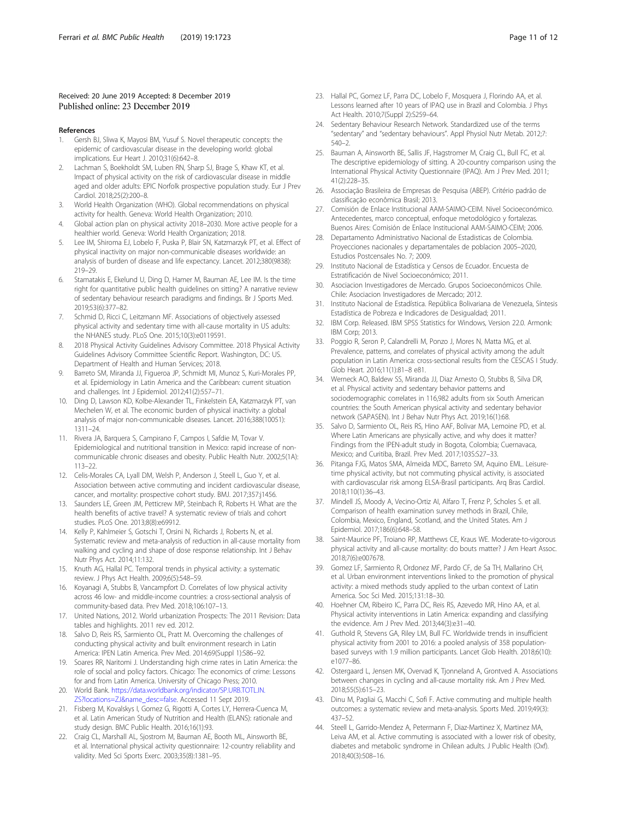#### <span id="page-10-0"></span>Received: 20 June 2019 Accepted: 8 December 2019 Published online: 23 December 2019

#### References

- 1. Gersh BJ, Sliwa K, Mayosi BM, Yusuf S. Novel therapeutic concepts: the epidemic of cardiovascular disease in the developing world: global implications. Eur Heart J. 2010;31(6):642–8.
- Lachman S, Boekholdt SM, Luben RN, Sharp SJ, Brage S, Khaw KT, et al. Impact of physical activity on the risk of cardiovascular disease in middle aged and older adults: EPIC Norfolk prospective population study. Eur J Prev Cardiol. 2018;25(2):200–8.
- 3. World Health Organization (WHO). Global recommendations on physical activity for health. Geneva: World Health Organization; 2010.
- 4. Global action plan on physical activity 2018–2030. More active people for a healthier world. Geneva: World Health Organization; 2018.
- 5. Lee IM, Shiroma EJ, Lobelo F, Puska P, Blair SN, Katzmarzyk PT, et al. Effect of physical inactivity on major non-communicable diseases worldwide: an analysis of burden of disease and life expectancy. Lancet. 2012;380(9838): 219–29.
- 6. Stamatakis E, Ekelund U, Ding D, Hamer M, Bauman AE, Lee IM. Is the time right for quantitative public health guidelines on sitting? A narrative review of sedentary behaviour research paradigms and findings. Br J Sports Med. 2019;53(6):377–82.
- 7. Schmid D, Ricci C, Leitzmann MF. Associations of objectively assessed physical activity and sedentary time with all-cause mortality in US adults: the NHANES study. PLoS One. 2015;10(3):e0119591.
- 8. 2018 Physical Activity Guidelines Advisory Committee. 2018 Physical Activity Guidelines Advisory Committee Scientific Report. Washington, DC: US. Department of Health and Human Services; 2018.
- 9. Barreto SM, Miranda JJ, Figueroa JP, Schmidt MI, Munoz S, Kuri-Morales PP, et al. Epidemiology in Latin America and the Caribbean: current situation and challenges. Int J Epidemiol. 2012;41(2):557–71.
- 10. Ding D, Lawson KD, Kolbe-Alexander TL, Finkelstein EA, Katzmarzyk PT, van Mechelen W, et al. The economic burden of physical inactivity: a global analysis of major non-communicable diseases. Lancet. 2016;388(10051): 1311–24.
- 11. Rivera JA, Barquera S, Campirano F, Campos I, Safdie M, Tovar V. Epidemiological and nutritional transition in Mexico: rapid increase of noncommunicable chronic diseases and obesity. Public Health Nutr. 2002;5(1A): 113–22.
- 12. Celis-Morales CA, Lyall DM, Welsh P, Anderson J, Steell L, Guo Y, et al. Association between active commuting and incident cardiovascular disease, cancer, and mortality: prospective cohort study. BMJ. 2017;357:j1456.
- 13. Saunders LE, Green JM, Petticrew MP, Steinbach R, Roberts H. What are the health benefits of active travel? A systematic review of trials and cohort studies. PLoS One. 2013;8(8):e69912.
- 14. Kelly P, Kahlmeier S, Gotschi T, Orsini N, Richards J, Roberts N, et al. Systematic review and meta-analysis of reduction in all-cause mortality from walking and cycling and shape of dose response relationship. Int J Behav Nutr Phys Act. 2014;11:132.
- 15. Knuth AG, Hallal PC. Temporal trends in physical activity: a systematic review. J Phys Act Health. 2009;6(5):548–59.
- 16. Koyanagi A, Stubbs B, Vancampfort D. Correlates of low physical activity across 46 low- and middle-income countries: a cross-sectional analysis of community-based data. Prev Med. 2018;106:107–13.
- 17. United Nations, 2012. World urbanization Prospects: The 2011 Revision: Data tables and highlights. 2011 rev ed. 2012.
- 18. Salvo D, Reis RS, Sarmiento OL, Pratt M. Overcoming the challenges of conducting physical activity and built environment research in Latin America: IPEN Latin America. Prev Med. 2014;69(Suppl 1):S86–92.
- 19. Soares RR, Naritomi J. Understanding high crime rates in Latin America: the role of social and policy factors. Chicago: The economics of crime: Lessons for and from Latin America. University of Chicago Press; 2010.
- 20. World Bank. [https://data.worldbank.org/indicator/SP.URB.TOTL.IN.](https://data.worldbank.org/indicator/SP.URB.TOTL.IN.ZS?locations=ZJ&name_desc=false) [ZS?locations=ZJ&name\\_desc=false.](https://data.worldbank.org/indicator/SP.URB.TOTL.IN.ZS?locations=ZJ&name_desc=false) Accessed 11 Sept 2019.
- 21. Fisberg M, Kovalskys I, Gomez G, Rigotti A, Cortes LY, Herrera-Cuenca M, et al. Latin American Study of Nutrition and Health (ELANS): rationale and study design. BMC Public Health. 2016;16(1):93.
- 22. Craig CL, Marshall AL, Sjostrom M, Bauman AE, Booth ML, Ainsworth BE, et al. International physical activity questionnaire: 12-country reliability and validity. Med Sci Sports Exerc. 2003;35(8):1381–95.
- 23. Hallal PC, Gomez LF, Parra DC, Lobelo F, Mosquera J, Florindo AA, et al. Lessons learned after 10 years of IPAQ use in Brazil and Colombia. J Phys Act Health. 2010;7(Suppl 2):S259–64.
- 24. Sedentary Behaviour Research Network. Standardized use of the terms "sedentary" and "sedentary behaviours". Appl Physiol Nutr Metab. 2012;7: 540–2.
- 25. Bauman A, Ainsworth BE, Sallis JF, Hagstromer M, Craig CL, Bull FC, et al. The descriptive epidemiology of sitting. A 20-country comparison using the International Physical Activity Questionnaire (IPAQ). Am J Prev Med. 2011; 41(2):228–35.
- 26. Associação Brasileira de Empresas de Pesquisa (ABEP). Critério padrão de classificação econômica Brasil; 2013.
- 27. Comisión de Enlace Institucional AAM-SAIMO-CEIM. Nivel Socioeconómico. Antecedentes, marco conceptual, enfoque metodológico y fortalezas. Buenos Aires: Comisión de Enlace Institucional AAM-SAIMO-CEIM; 2006.
- 28. Departamento Administrativo Nacional de Estadisticas de Colombia. Proyecciones nacionales y departamentales de poblacion 2005–2020, Estudios Postcensales No. 7; 2009.
- 29. Instituto Nacional de Estadística y Censos de Ecuador. Encuesta de Estratificación de Nivel Socioeconómico; 2011.
- 30. Asociacion Investigadores de Mercado. Grupos Socioeconómicos Chile. Chile: Asociacion Investigadores de Mercado; 2012.
- 31. Instituto Nacional de Estadística. República Bolivariana de Venezuela, Síntesis Estadística de Pobreza e Indicadores de Desigualdad; 2011.
- 32. IBM Corp. Released. IBM SPSS Statistics for Windows, Version 22.0. Armonk: IBM Corp; 2013.
- 33. Poggio R, Seron P, Calandrelli M, Ponzo J, Mores N, Matta MG, et al. Prevalence, patterns, and correlates of physical activity among the adult population in Latin America: cross-sectional results from the CESCAS I Study. Glob Heart. 2016;11(1):81–8 e81.
- 34. Werneck AO, Baldew SS, Miranda JJ, Diaz Arnesto O, Stubbs B, Silva DR, et al. Physical activity and sedentary behavior patterns and sociodemographic correlates in 116,982 adults from six South American countries: the South American physical activity and sedentary behavior network (SAPASEN). Int J Behav Nutr Phys Act. 2019;16(1):68.
- Salvo D, Sarmiento OL, Reis RS, Hino AAF, Bolivar MA, Lemoine PD, et al. Where Latin Americans are physically active, and why does it matter? Findings from the IPEN-adult study in Bogota, Colombia; Cuernavaca, Mexico; and Curitiba, Brazil. Prev Med. 2017;103S:S27–33.
- 36. Pitanga FJG, Matos SMA, Almeida MDC, Barreto SM, Aquino EML. Leisuretime physical activity, but not commuting physical activity, is associated with cardiovascular risk among ELSA-Brasil participants. Arq Bras Cardiol. 2018;110(1):36–43.
- 37. Mindell JS, Moody A, Vecino-Ortiz AI, Alfaro T, Frenz P, Scholes S. et all. Comparison of health examination survey methods in Brazil, Chile, Colombia, Mexico, England, Scotland, and the United States. Am J Epidemiol. 2017;186(6):648–58.
- 38. Saint-Maurice PF, Troiano RP, Matthews CE, Kraus WE. Moderate-to-vigorous physical activity and all-cause mortality: do bouts matter? J Am Heart Assoc. 2018;7(6):e007678.
- 39. Gomez LF, Sarmiento R, Ordonez MF, Pardo CF, de Sa TH, Mallarino CH, et al. Urban environment interventions linked to the promotion of physical activity: a mixed methods study applied to the urban context of Latin America. Soc Sci Med. 2015;131:18–30.
- 40. Hoehner CM, Ribeiro IC, Parra DC, Reis RS, Azevedo MR, Hino AA, et al. Physical activity interventions in Latin America: expanding and classifying the evidence. Am J Prev Med. 2013;44(3):e31–40.
- 41. Guthold R, Stevens GA, Riley LM, Bull FC. Worldwide trends in insufficient physical activity from 2001 to 2016: a pooled analysis of 358 populationbased surveys with 1.9 million participants. Lancet Glob Health. 2018;6(10): e1077–86.
- 42. Ostergaard L, Jensen MK, Overvad K, Tjonneland A, Grontved A. Associations between changes in cycling and all-cause mortality risk. Am J Prev Med. 2018;55(5):615–23.
- 43. Dinu M, Pagliai G, Macchi C, Sofi F. Active commuting and multiple health outcomes: a systematic review and meta-analysis. Sports Med. 2019;49(3): 437–52.
- 44. Steell L, Garrido-Mendez A, Petermann F, Diaz-Martinez X, Martinez MA, Leiva AM, et al. Active commuting is associated with a lower risk of obesity, diabetes and metabolic syndrome in Chilean adults. J Public Health (Oxf). 2018;40(3):508–16.